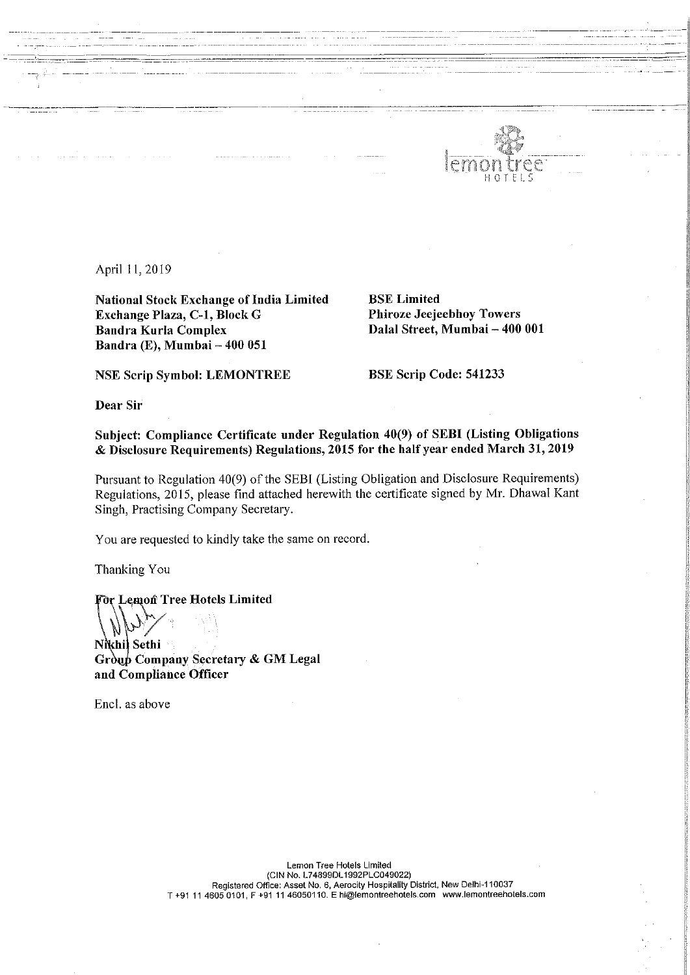

April 11,2019

National Stock Exchange of India Limited<br>
BSE Limited<br>
Bracklange Plaza, C-1, Block G<br>
Bracklange Plaza, C-1, Block G<br>
Bracklange Plaza, C-1, Block G<br>
Bracklange Plaza, C-1, Block G<br>
Bracklange Plaza, C-1, Block G<br>
Brackla Exchange Plaza, C-1, Block G<br>Bandra Kurla Complex Bandra (E), Mumbai <sup>~</sup> 400 051

Dalal Street, Mumbai -- 400 001

NSE Scrip Symbol: LEMONTREE BSE Scrip Code: 541233

Dear Sir

Subject: Compliance Certificate under Regulation 40(9) of SEBI (Listing Obligations & Disclosure Requirements) Regulations, <sup>2015</sup> for the half year ended March 31, <sup>2019</sup>

Pursuant to Regulation 40(9) of the SEBI (Listing Obligation and Disclosure Requirements) Regulations, 2015, please find attached herewith the certificate signed by Mr. Dhawal Kant Singh, Practising Company Secretary.

You are requested to kindly take the same on record.

Thanking You

or Lemon Tree Hotels Limited

 $N_{\rm P}$ Nikhil Sethi Group Company Secretary & GM Legal and Compliance Officer

Encl. as above